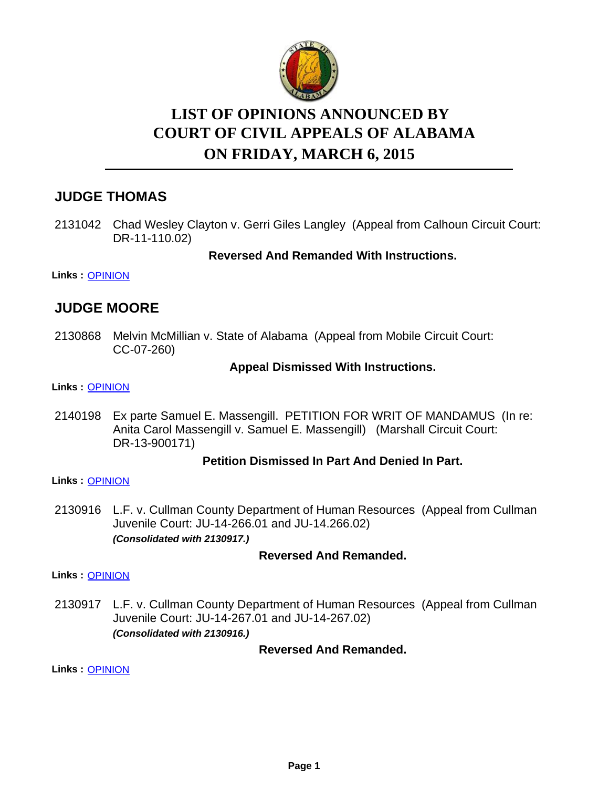

# **LIST OF OPINIONS ANNOUNCED BY ON FRIDAY, MARCH 6, 2015 COURT OF CIVIL APPEALS OF ALABAMA**

# **JUDGE THOMAS**

2131042 Chad Wesley Clayton v. Gerri Giles Langley (Appeal from Calhoun Circuit Court: DR-11-110.02)

#### **Reversed And Remanded With Instructions.**

**Links :** [OPINION](https://acis.alabama.gov/displaydocs.cfm?no=642960&event=4AQ0KBBXA)

# **JUDGE MOORE**

2130868 Melvin McMillian v. State of Alabama (Appeal from Mobile Circuit Court: CC-07-260)

#### **Appeal Dismissed With Instructions.**

#### **Links :** [OPINION](https://acis.alabama.gov/displaydocs.cfm?no=642958&event=4AQ0KBAHM)

2140198 Ex parte Samuel E. Massengill. PETITION FOR WRIT OF MANDAMUS (In re: Anita Carol Massengill v. Samuel E. Massengill) (Marshall Circuit Court: DR-13-900171)

#### **Petition Dismissed In Part And Denied In Part.**

#### **Links :** [OPINION](https://acis.alabama.gov/displaydocs.cfm?no=642961&event=4AQ0KBC48)

2130916 L.F. v. Cullman County Department of Human Resources (Appeal from Cullman Juvenile Court: JU-14-266.01 and JU-14.266.02) *(Consolidated with 2130917.)*

#### **Reversed And Remanded.**

**Links :** [OPINION](https://acis.alabama.gov/displaydocs.cfm?no=642959&event=4AQ0KBAP4)

2130917 L.F. v. Cullman County Department of Human Resources (Appeal from Cullman Juvenile Court: JU-14-267.01 and JU-14-267.02) *(Consolidated with 2130916.)*

#### **Reversed And Remanded.**

**Links :** [OPINION](https://acis.alabama.gov/displaydocs.cfm?no=642959&event=4AQ0KBAP4)